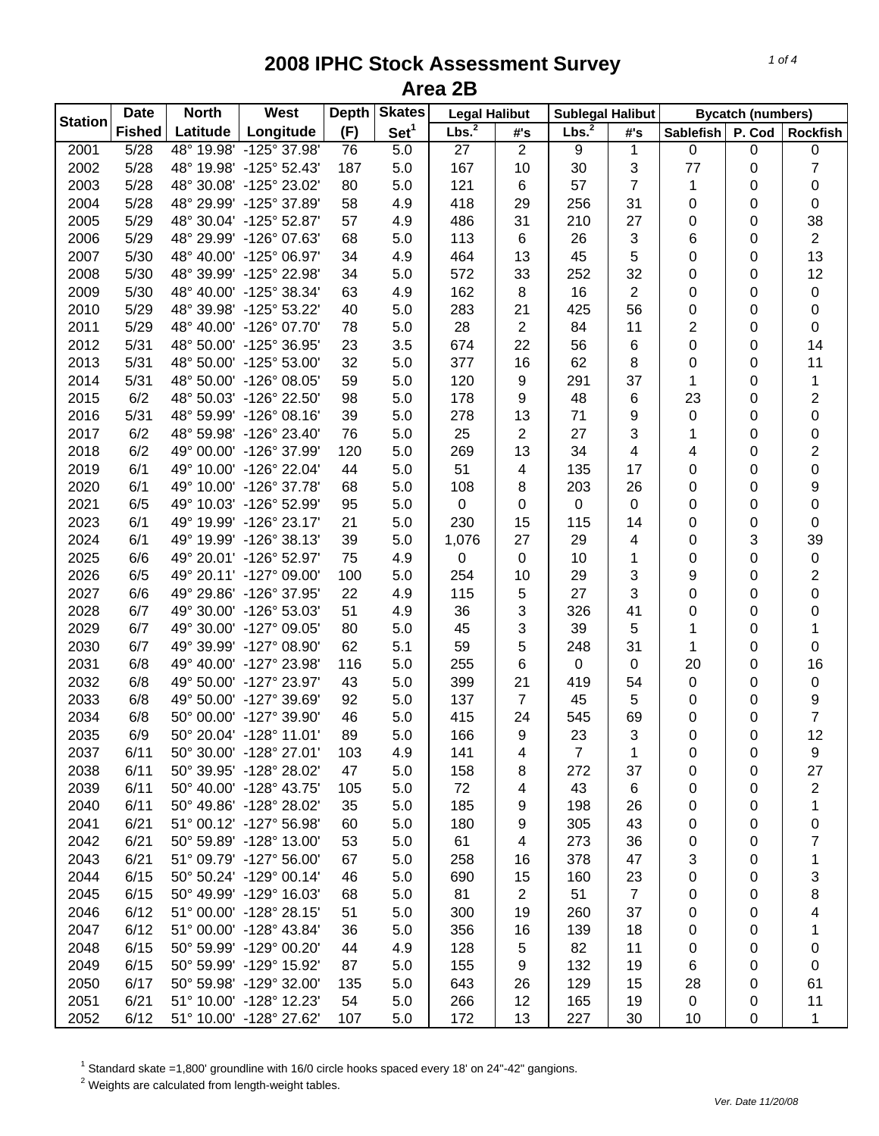| <b>Station</b> | <b>Date</b>   | <b>North</b> | <b>West</b>             | <b>Depth</b> | <b>Skates</b>    | <b>Legal Halibut</b> |                |                   | <b>Sublegal Halibut</b> |                  | <b>Bycatch (numbers)</b> |                         |
|----------------|---------------|--------------|-------------------------|--------------|------------------|----------------------|----------------|-------------------|-------------------------|------------------|--------------------------|-------------------------|
|                | <b>Fished</b> | Latitude     | Longitude               | (F)          | Set <sup>1</sup> | Lbs. <sup>2</sup>    | #'s            | Lbs. <sup>2</sup> | #'s                     | <b>Sablefish</b> | P. Cod                   | <b>Rockfish</b>         |
| 2001           | 5/28          |              | 48° 19.98' -125° 37.98' | 76           | 5.0              | 27                   | $\overline{2}$ | 9                 | 1                       | 0                | 0                        | 0                       |
| 2002           | 5/28          |              | 48° 19.98' -125° 52.43' | 187          | 5.0              | 167                  | 10             | 30                | 3                       | 77               | 0                        | 7                       |
| 2003           | 5/28          |              | 48° 30.08' -125° 23.02' | 80           | 5.0              | 121                  | 6              | 57                | 7                       | 1                | 0                        | 0                       |
| 2004           | 5/28          |              | 48° 29.99' -125° 37.89' | 58           | 4.9              | 418                  | 29             | 256               | 31                      | 0                | 0                        | 0                       |
| 2005           | 5/29          |              | 48° 30.04' -125° 52.87' | 57           | 4.9              | 486                  | 31             | 210               | 27                      | 0                | 0                        | 38                      |
| 2006           | 5/29          |              | 48° 29.99' -126° 07.63' | 68           | 5.0              | 113                  | 6              | 26                | 3                       | 6                | 0                        | $\overline{2}$          |
| 2007           | 5/30          |              | 48° 40.00' -125° 06.97' | 34           | 4.9              | 464                  | 13             | 45                | 5                       | 0                | 0                        | 13                      |
| 2008           | 5/30          |              | 48° 39.99' -125° 22.98' | 34           | 5.0              | 572                  | 33             | 252               | 32                      | 0                | 0                        | 12                      |
| 2009           | 5/30          |              | 48° 40.00' -125° 38.34' | 63           | 4.9              | 162                  | 8              | 16                | $\overline{2}$          | 0                | 0                        | 0                       |
| 2010           | 5/29          |              | 48° 39.98' -125° 53.22' | 40           | 5.0              | 283                  | 21             | 425               | 56                      | 0                | 0                        | 0                       |
| 2011           | 5/29          |              | 48° 40.00' -126° 07.70' | 78           | 5.0              | 28                   | 2              | 84                | 11                      | 2                | 0                        | 0                       |
| 2012           | 5/31          |              | 48° 50.00' -125° 36.95' | 23           | 3.5              | 674                  | 22             | 56                | 6                       | 0                | 0                        | 14                      |
| 2013           | 5/31          |              | 48° 50.00' -125° 53.00' | 32           | 5.0              | 377                  | 16             | 62                | 8                       | 0                | 0                        | 11                      |
| 2014           | 5/31          |              | 48° 50.00' -126° 08.05' | 59           | 5.0              | 120                  | 9              | 291               | 37                      | 1                | 0                        | 1                       |
| 2015           | 6/2           |              | 48° 50.03' -126° 22.50' | 98           | 5.0              | 178                  | 9              | 48                | 6                       | 23               | 0                        | $\overline{\mathbf{c}}$ |
| 2016           | 5/31          |              | 48° 59.99' -126° 08.16' | 39           | 5.0              | 278                  | 13             | 71                | 9                       | 0                | 0                        | 0                       |
| 2017           | 6/2           |              | 48° 59.98' -126° 23.40' | 76           | 5.0              | 25                   | 2              | 27                | 3                       | 1                | 0                        | 0                       |
| 2018           | 6/2           |              | 49° 00.00' -126° 37.99' | 120          | 5.0              | 269                  | 13             | 34                | 4                       | 4                | 0                        | 2                       |
| 2019           | 6/1           |              | 49° 10.00' -126° 22.04' | 44           | 5.0              | 51                   | 4              | 135               | 17                      | 0                | 0                        | 0                       |
| 2020           | 6/1           |              | 49° 10.00' -126° 37.78' | 68           | 5.0              | 108                  | 8              | 203               | 26                      | 0                | 0                        | 9                       |
| 2021           | 6/5           |              | 49° 10.03' -126° 52.99' | 95           | 5.0              | $\pmb{0}$            | 0              | $\pmb{0}$         | 0                       | 0                | 0                        | 0                       |
| 2023           | 6/1           |              | 49° 19.99' -126° 23.17' | 21           | 5.0              | 230                  | 15             | 115               | 14                      | 0                | 0                        | 0                       |
| 2024           | 6/1           |              | 49° 19.99' -126° 38.13' | 39           | 5.0              | 1,076                | 27             | 29                | 4                       | 0                | 3                        | 39                      |
| 2025           | 6/6           |              | 49° 20.01' -126° 52.97' | 75           | 4.9              | $\pmb{0}$            | 0              | 10                | 1                       | 0                | 0                        | $\pmb{0}$               |
| 2026           | 6/5           |              | 49° 20.11' -127° 09.00' | 100          | 5.0              | 254                  | 10             | 29                | 3                       | 9                | 0                        | $\overline{\mathbf{c}}$ |
| 2027           | 6/6           |              | 49° 29.86' -126° 37.95' | 22           | 4.9              | 115                  | 5              | 27                | 3                       | 0                | 0                        | 0                       |
| 2028           | 6/7           |              | 49° 30.00' -126° 53.03' | 51           | 4.9              | 36                   | 3              | 326               | 41                      | 0                | 0                        | 0                       |
| 2029           | 6/7           |              | 49° 30.00' -127° 09.05' | 80           | 5.0              | 45                   | 3              | 39                | 5                       | 1                | 0                        | 1                       |
| 2030           | 6/7           |              | 49° 39.99' -127° 08.90' | 62           | 5.1              | 59                   | 5              | 248               | 31                      | 1                | 0                        | 0                       |
| 2031           | 6/8           |              | 49° 40.00' -127° 23.98' | 116          | 5.0              | 255                  | 6              | 0                 | 0                       | 20               | 0                        | 16                      |
| 2032           | 6/8           |              | 49° 50.00' -127° 23.97' | 43           | 5.0              | 399                  | 21             | 419               | 54                      | 0                | 0                        | $\pmb{0}$               |
| 2033           | 6/8           |              | 49° 50.00' -127° 39.69' | 92           | 5.0              | 137                  | 7              | 45                | 5                       | 0                | 0                        | 9                       |
| 2034           | 6/8           |              | 50° 00.00' -127° 39.90' | 46           | 5.0              | 415                  | 24             | 545               | 69                      | 0                | 0                        | $\overline{7}$          |
| 2035           | 6/9           |              | 50° 20.04' -128° 11.01' | 89           | 5.0              | 166                  | 9              | 23                | 3                       | 0                | 0                        | 12                      |
| 2037           | 6/11          |              | 50° 30.00' -128° 27.01' | 103          | 4.9              | 141                  | 4              | $\overline{7}$    | 1                       | 0                | 0                        | 9                       |
| 2038           | 6/11          |              | 50° 39.95' -128° 28.02' | 47           | 5.0              | 158                  | 8              | 272               | 37                      | 0                | 0                        | 27                      |
| 2039           | 6/11          |              | 50° 40.00' -128° 43.75' | 105          | 5.0              | 72                   | 4              | 43                | 6                       | 0                | 0                        | 2                       |
| 2040           | 6/11          |              | 50° 49.86' -128° 28.02' | 35           | 5.0              | 185                  | 9              | 198               | 26                      | 0                | 0                        | 1                       |
| 2041           | 6/21          |              | 51° 00.12' -127° 56.98' | 60           | 5.0              | 180                  | 9              | 305               | 43                      | 0                | 0                        | 0                       |
| 2042           | 6/21          |              | 50° 59.89' -128° 13.00' | 53           | 5.0              | 61                   | 4              | 273               | 36                      | 0                | 0                        | 7                       |
| 2043           | 6/21          |              | 51° 09.79' -127° 56.00' | 67           | 5.0              | 258                  | 16             | 378               | 47                      | 3                | 0                        | 1                       |
| 2044           | 6/15          |              | 50° 50.24' -129° 00.14' | 46           | 5.0              | 690                  | 15             | 160               | 23                      | 0                | 0                        | 3                       |
| 2045           | 6/15          |              | 50° 49.99' -129° 16.03' | 68           | 5.0              | 81                   | 2              | 51                | $\overline{7}$          | 0                | 0                        | 8                       |
| 2046           | 6/12          |              | 51° 00.00' -128° 28.15' | 51           | 5.0              | 300                  | 19             | 260               | 37                      | 0                | 0                        | 4                       |
| 2047           | 6/12          |              | 51° 00.00' -128° 43.84' | 36           | 5.0              | 356                  | 16             | 139               | 18                      | 0                | 0                        | 1                       |
| 2048           | 6/15          |              | 50° 59.99' -129° 00.20' | 44           | 4.9              | 128                  | 5              | 82                | 11                      | 0                | 0                        | 0                       |
| 2049           | 6/15          |              | 50° 59.99' -129° 15.92' | 87           | 5.0              | 155                  | 9              | 132               | 19                      | 6                | 0                        | 0                       |
| 2050           | 6/17          |              | 50° 59.98' -129° 32.00' | 135          | 5.0              | 643                  | 26             | 129               | 15                      | 28               | 0                        | 61                      |
| 2051           | 6/21          |              | 51° 10.00' -128° 12.23' | 54           | 5.0              | 266                  | 12             | 165               | 19                      | 0                | 0                        | 11                      |
| 2052           | 6/12          |              | 51° 10.00' -128° 27.62' | 107          | 5.0              | 172                  | 13             | 227               | 30                      | 10               | 0                        | 1                       |
|                |               |              |                         |              |                  |                      |                |                   |                         |                  |                          |                         |

 $^1$  Standard skate =1,800' groundline with 16/0 circle hooks spaced every 18' on 24"-42" gangions.<br><sup>2</sup> Weights are calculated from length-weight tables.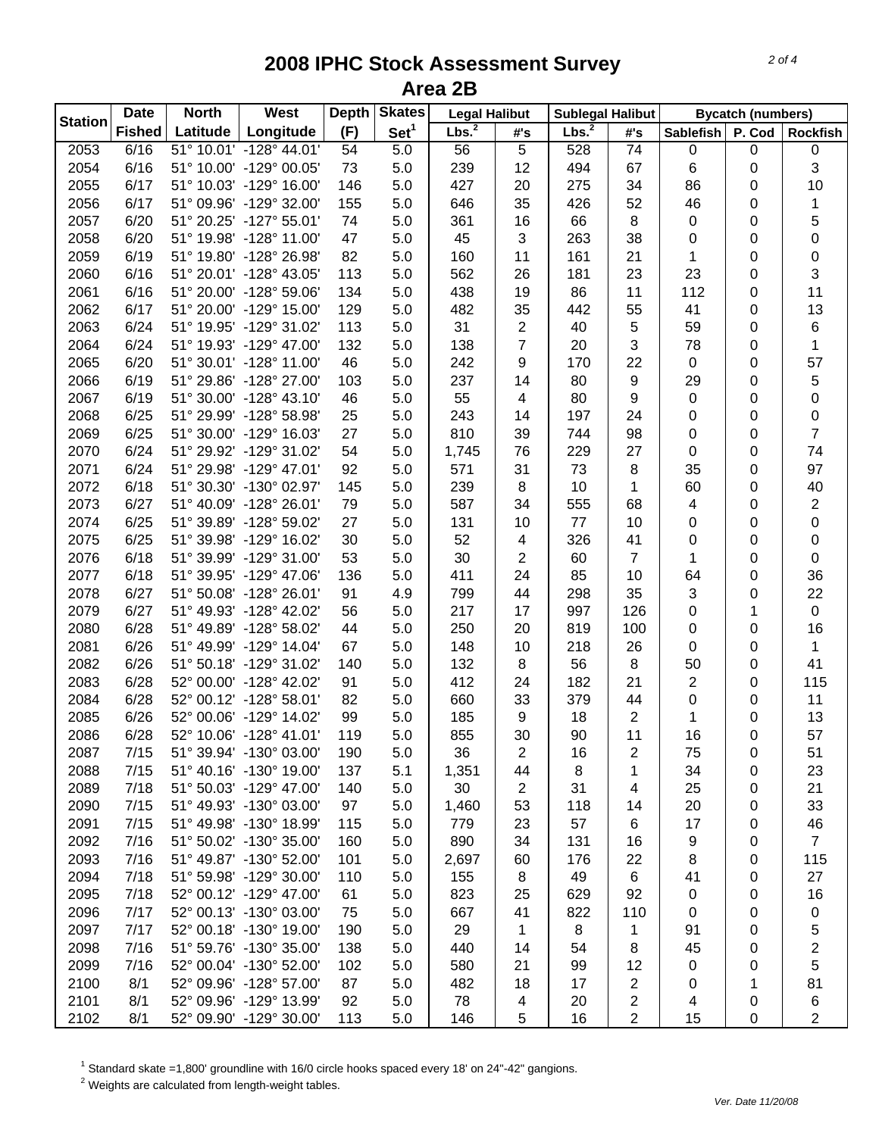| <b>Station</b> | <b>Date</b>   | <b>North</b> | West                                               | <b>Depth</b> | <b>Skates</b>    | <b>Legal Halibut</b> |                | <b>Sublegal Halibut</b> |                |                  | <b>Bycatch (numbers)</b> |                 |
|----------------|---------------|--------------|----------------------------------------------------|--------------|------------------|----------------------|----------------|-------------------------|----------------|------------------|--------------------------|-----------------|
|                | <b>Fished</b> | Latitude     | Longitude                                          | (F)          | Set <sup>1</sup> | Lbs. <sup>2</sup>    | #'s            | Lbs. <sup>2</sup>       | #'s            | <b>Sablefish</b> | P. Cod                   | <b>Rockfish</b> |
| 2053           | 6/16          |              | 51° 10.01' -128° 44.01'                            | 54           | 5.0              | 56                   | 5              | 528                     | 74             | 0                | 0                        | 0               |
| 2054           | 6/16          |              | 51° 10.00' -129° 00.05'                            | 73           | 5.0              | 239                  | 12             | 494                     | 67             | 6                | 0                        | 3               |
| 2055           | 6/17          |              | 51° 10.03' -129° 16.00'                            | 146          | 5.0              | 427                  | 20             | 275                     | 34             | 86               | 0                        | 10              |
| 2056           | 6/17          |              | 51° 09.96' -129° 32.00'                            | 155          | 5.0              | 646                  | 35             | 426                     | 52             | 46               | 0                        | 1               |
| 2057           | 6/20          |              | 51° 20.25' -127° 55.01'                            | 74           | 5.0              | 361                  | 16             | 66                      | 8              | 0                | 0                        | 5               |
| 2058           | 6/20          |              | 51° 19.98' -128° 11.00'                            | 47           | 5.0              | 45                   | 3              | 263                     | 38             | 0                | 0                        | 0               |
| 2059           | 6/19          |              | 51° 19.80' -128° 26.98'                            | 82           | 5.0              | 160                  | 11             | 161                     | 21             | 1                | 0                        | 0               |
| 2060           | 6/16          |              | 51° 20.01' -128° 43.05'                            | 113          | 5.0              | 562                  | 26             | 181                     | 23             | 23               | 0                        | 3               |
| 2061           | 6/16          |              | 51° 20.00' -128° 59.06'                            | 134          | 5.0              | 438                  | 19             | 86                      | 11             | 112              | 0                        | 11              |
| 2062           | 6/17          |              | 51° 20.00' -129° 15.00'                            | 129          | 5.0              | 482                  | 35             | 442                     | 55             | 41               | 0                        | 13              |
| 2063           | 6/24          |              | 51° 19.95' -129° 31.02'                            | 113          | 5.0              | 31                   | 2              | 40                      | 5              | 59               | 0                        | 6               |
| 2064           | 6/24          |              | 51° 19.93' -129° 47.00'                            | 132          | 5.0              | 138                  | $\overline{7}$ | 20                      | 3              | 78               | 0                        | $\mathbf{1}$    |
| 2065           | 6/20          |              | 51° 30.01' -128° 11.00'                            | 46           | 5.0              | 242                  | 9              | 170                     | 22             | 0                | 0                        | 57              |
| 2066           | 6/19          |              | 51° 29.86' -128° 27.00'                            | 103          | 5.0              | 237                  | 14             | 80                      | 9              | 29               | 0                        | 5               |
| 2067           | 6/19          |              | 51° 30.00' -128° 43.10'                            | 46           | 5.0              | 55                   | 4              | 80                      | 9              | 0                | 0                        | 0               |
| 2068           | 6/25          |              | 51° 29.99' -128° 58.98'                            | 25           | 5.0              | 243                  | 14             | 197                     | 24             | 0                | 0                        | 0               |
| 2069           | 6/25          |              | 51° 30.00' -129° 16.03'                            | 27           | 5.0              | 810                  | 39             | 744                     | 98             | 0                | 0                        | $\overline{7}$  |
| 2070           | 6/24          |              | 51° 29.92' -129° 31.02'                            | 54           | 5.0              | 1,745                | 76             | 229                     | 27             | 0                | 0                        | 74              |
| 2071           | 6/24          |              | 51° 29.98' -129° 47.01'                            | 92           | 5.0              | 571                  | 31             | 73                      | 8              | 35               | 0                        | 97              |
| 2072           | 6/18          |              | 51° 30.30' -130° 02.97'                            | 145          | 5.0              | 239                  | 8              | 10                      | 1              | 60               | 0                        | 40              |
| 2073           | 6/27          |              | 51° 40.09' -128° 26.01'                            | 79           | 5.0              | 587                  | 34             | 555                     | 68             | 4                | 0                        | $\overline{c}$  |
| 2074           | 6/25          |              | 51° 39.89' -128° 59.02'                            | 27           | 5.0              | 131                  | 10             | 77                      | 10             | 0                | 0                        | 0               |
| 2075           | 6/25          |              | 51° 39.98' -129° 16.02'                            | 30           | 5.0              | 52                   | 4              | 326                     | 41             | 0                | 0                        | 0               |
| 2076           | 6/18          |              | 51° 39.99' -129° 31.00'                            | 53           | 5.0              | 30                   | 2              | 60                      | $\overline{7}$ | 1                | 0                        | 0               |
| 2077           | 6/18          |              | 51° 39.95' -129° 47.06'                            | 136          | 5.0              | 411                  | 24             | 85                      | 10             | 64               | 0                        | 36              |
| 2078           | 6/27          |              | 51° 50.08' -128° 26.01'                            | 91           | 4.9              | 799                  | 44             | 298                     | 35             | 3                | 0                        | 22              |
| 2079           | 6/27          |              | 51° 49.93' -128° 42.02'                            | 56           | 5.0              | 217                  | 17             | 997                     | 126            | 0                | 1                        | $\mathsf 0$     |
| 2080           | 6/28          |              | 51° 49.89' -128° 58.02'                            | 44           | 5.0              | 250                  | 20             | 819                     | 100            | 0                | 0                        | 16              |
| 2081           | 6/26          |              | 51° 49.99' -129° 14.04'                            | 67           | 5.0              | 148                  | 10             | 218                     | 26             | 0                | 0                        | $\mathbf{1}$    |
| 2082           | 6/26          |              | 51° 50.18' -129° 31.02'                            | 140          | 5.0              | 132                  | 8              | 56                      | 8              | 50               | 0                        | 41              |
| 2083           | 6/28          |              | 52° 00.00' -128° 42.02'                            | 91           | 5.0              | 412                  | 24             | 182                     | 21             | $\overline{2}$   | 0                        | 115             |
| 2084           | 6/28          |              | 52° 00.12' -128° 58.01'                            | 82           | 5.0              | 660                  | 33             | 379                     | 44             | 0                | 0                        | 11              |
| 2085           | 6/26          |              | 52° 00.06' -129° 14.02'                            | 99           | 5.0              | 185                  | 9              | 18                      | $\overline{2}$ | 1                | 0                        | 13              |
| 2086           | 6/28          |              | 52° 10.06' -128° 41.01'                            | 119          | 5.0              | 855                  | 30             | 90                      | 11             | 16               | 0                        | 57              |
| 2087           | 7/15          |              | 51° 39.94' -130° 03.00'                            | 190          | 5.0              | 36                   | 2              | 16                      | 2              | 75               | 0                        | 51              |
| 2088           | 7/15          |              | 51° 40.16' -130° 19.00'                            | 137          | 5.1              | 1,351                | 44             | 8                       | 1              | 34               | 0                        | 23              |
| 2089           | 7/18          |              | 51° 50.03' -129° 47.00'                            | 140          | 5.0              | 30                   | 2              | 31                      | 4              | 25               | 0                        | 21              |
| 2090           | 7/15          |              | 51° 49.93' -130° 03.00'                            | 97           | 5.0              | 1,460                | 53             | 118                     | 14             | 20               | 0                        | 33              |
| 2091           | 7/15          |              | 51° 49.98' -130° 18.99'                            | 115          | 5.0              | 779                  | 23             | 57                      | 6              | 17               | 0                        | 46              |
| 2092           | 7/16          |              | 51° 50.02' -130° 35.00'                            | 160          | 5.0              | 890                  | 34             | 131                     | 16             | 9                | 0                        | $\overline{7}$  |
| 2093           | 7/16          |              | 51° 49.87' -130° 52.00'                            | 101          | 5.0              | 2,697                | 60             | 176                     | 22             | 8                | 0                        | 115             |
| 2094           | 7/18          |              | 51° 59.98' -129° 30.00'                            | 110          | 5.0              | 155                  | 8              | 49                      | 6              | 41               | 0                        | 27              |
| 2095           | 7/18          |              | 52° 00.12' -129° 47.00'                            | 61           | 5.0              | 823                  | 25             | 629                     | 92             | 0                | 0                        | 16              |
| 2096           | 7/17          |              | 52° 00.13' -130° 03.00'                            | 75           | 5.0              | 667                  | 41             | 822                     | 110            | 0                |                          | 0               |
| 2097           | 7/17          |              | 52° 00.18' -130° 19.00'                            | 190          | 5.0              | 29                   | 1              | 8                       | 1              | 91               | 0                        |                 |
| 2098           | 7/16          |              | 51° 59.76' -130° 35.00'                            | 138          | 5.0              | 440                  | 14             | 54                      |                | 45               | 0                        | 5               |
| 2099           |               |              |                                                    |              |                  |                      | 21             |                         | 8              |                  | 0                        | 2               |
| 2100           | 7/16<br>8/1   |              | 52° 00.04' -130° 52.00'<br>52° 09.96' -128° 57.00' | 102          | 5.0              | 580                  |                | 99<br>17                | 12             | 0                | 0                        | 5               |
| 2101           | 8/1           |              | 52° 09.96' -129° 13.99'                            | 87<br>92     | 5.0              | 482<br>78            | 18             | 20                      | 2              | 0                | 1                        | 81              |
|                |               |              |                                                    |              | 5.0              |                      | 4              |                         | 2              | 4                | 0                        | 6               |
| 2102           | 8/1           |              | 52° 09.90' -129° 30.00'                            | 113          | 5.0              | 146                  | 5              | 16                      | 2              | 15               | 0                        | 2               |

 $^1$  Standard skate =1,800' groundline with 16/0 circle hooks spaced every 18' on 24"-42" gangions.<br><sup>2</sup> Weights are calculated from length-weight tables.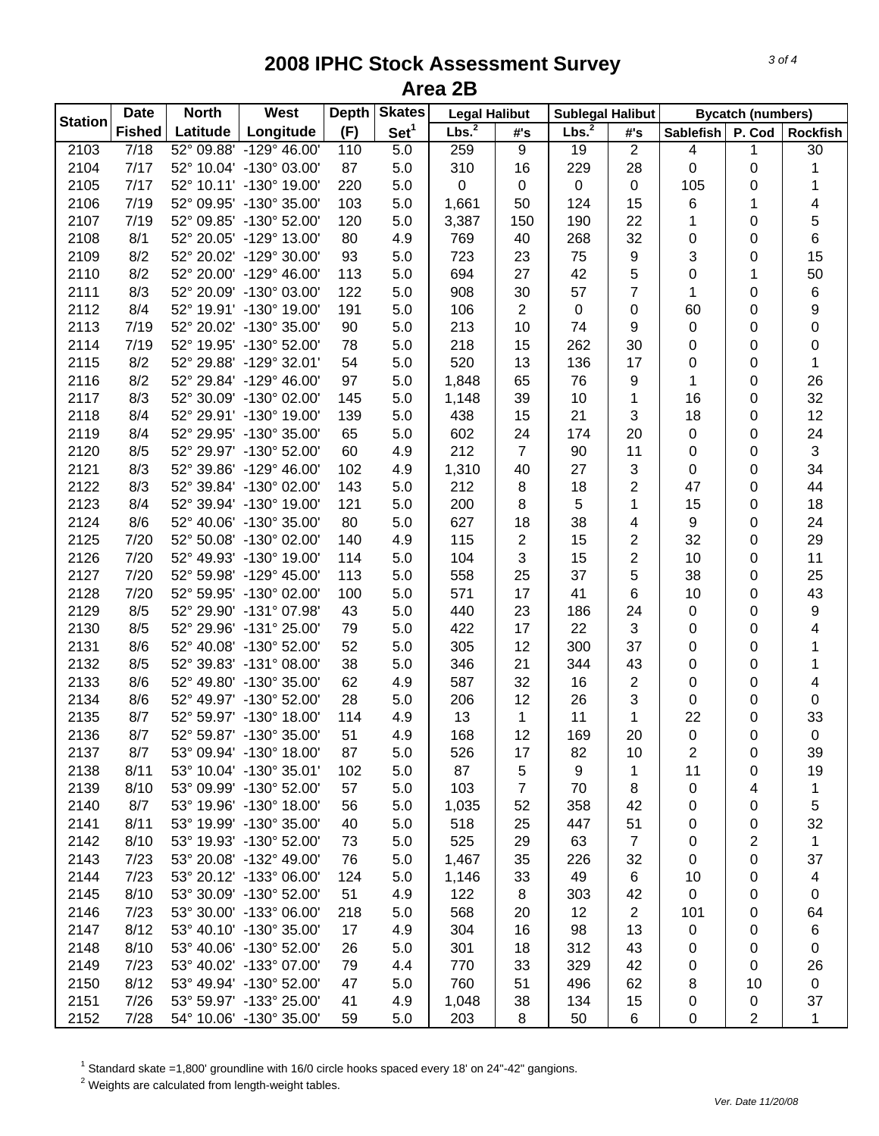| <b>Station</b> | <b>Date</b>   | <b>North</b> | <b>West</b>             | <b>Depth</b> | <b>Skates</b>    | <b>Legal Halibut</b> |                | <b>Sublegal Halibut</b> |                | <b>Bycatch (numbers)</b> |                |                         |
|----------------|---------------|--------------|-------------------------|--------------|------------------|----------------------|----------------|-------------------------|----------------|--------------------------|----------------|-------------------------|
|                | <b>Fished</b> | Latitude     | Longitude               | (F)          | Set <sup>1</sup> | Lbs. <sup>2</sup>    | #'s            | Lbs. <sup>2</sup>       | #'s            | Sablefish                | P. Cod         | <b>Rockfish</b>         |
| 2103           | 7/18          |              | 52° 09.88' -129° 46.00' | 110          | 5.0              | 259                  | 9              | 19                      | $\overline{2}$ | 4                        | 1              | $\overline{30}$         |
| 2104           | 7/17          |              | 52° 10.04' -130° 03.00' | 87           | 5.0              | 310                  | 16             | 229                     | 28             | 0                        | 0              | 1                       |
| 2105           | 7/17          |              | 52° 10.11' -130° 19.00' | 220          | 5.0              | 0                    | 0              | $\mathsf 0$             | 0              | 105                      | 0              | 1                       |
| 2106           | 7/19          |              | 52° 09.95' -130° 35.00' | 103          | 5.0              | 1,661                | 50             | 124                     | 15             | 6                        | 1              | 4                       |
| 2107           | 7/19          |              | 52° 09.85' -130° 52.00' | 120          | 5.0              | 3,387                | 150            | 190                     | 22             | 1                        | 0              | 5                       |
| 2108           | 8/1           |              | 52° 20.05' -129° 13.00' | 80           | 4.9              | 769                  | 40             | 268                     | 32             | 0                        | 0              | 6                       |
| 2109           | 8/2           |              | 52° 20.02' -129° 30.00' | 93           | 5.0              | 723                  | 23             | 75                      | 9              | 3                        | 0              | 15                      |
| 2110           | 8/2           |              | 52° 20.00' -129° 46.00' | 113          | 5.0              | 694                  | 27             | 42                      | 5              | 0                        | 1              | 50                      |
| 2111           | 8/3           |              | 52° 20.09' -130° 03.00' | 122          | 5.0              | 908                  | 30             | 57                      | $\overline{7}$ | 1                        | 0              | 6                       |
| 2112           | 8/4           |              | 52° 19.91' -130° 19.00' | 191          | 5.0              | 106                  | 2              | $\mathbf 0$             | 0              | 60                       | 0              | $\boldsymbol{9}$        |
| 2113           | 7/19          |              | 52° 20.02' -130° 35.00' | 90           | 5.0              | 213                  | 10             | 74                      | 9              | 0                        | 0              | $\pmb{0}$               |
| 2114           | 7/19          |              | 52° 19.95' -130° 52.00' | 78           | 5.0              | 218                  | 15             | 262                     | 30             | 0                        | 0              | $\pmb{0}$               |
| 2115           | 8/2           |              | 52° 29.88' -129° 32.01' | 54           | 5.0              | 520                  | 13             | 136                     | 17             | 0                        | 0              | 1                       |
| 2116           | 8/2           |              | 52° 29.84' -129° 46.00' | 97           | 5.0              | 1,848                | 65             | 76                      | 9              | 1                        | 0              | 26                      |
| 2117           | 8/3           |              | 52° 30.09' -130° 02.00' | 145          | 5.0              | 1,148                | 39             | 10                      | 1              | 16                       | 0              | 32                      |
| 2118           | 8/4           |              | 52° 29.91' -130° 19.00' | 139          | 5.0              | 438                  | 15             | 21                      | 3              | 18                       | 0              | 12                      |
| 2119           | 8/4           |              | 52° 29.95' -130° 35.00' | 65           | 5.0              | 602                  | 24             | 174                     | 20             | 0                        | 0              | 24                      |
| 2120           | 8/5           |              | 52° 29.97' -130° 52.00' | 60           | 4.9              | 212                  | $\overline{7}$ | 90                      | 11             | 0                        | 0              | 3                       |
| 2121           | 8/3           |              | 52° 39.86' -129° 46.00' | 102          | 4.9              | 1,310                | 40             | 27                      | 3              | 0                        | 0              | 34                      |
| 2122           | 8/3           |              | 52° 39.84' -130° 02.00' | 143          | 5.0              | 212                  | 8              | 18                      | $\overline{2}$ | 47                       | 0              | 44                      |
| 2123           | 8/4           |              | 52° 39.94' -130° 19.00' | 121          | 5.0              | 200                  | 8              | 5                       | $\mathbf{1}$   | 15                       | 0              | 18                      |
| 2124           | 8/6           |              | 52° 40.06' -130° 35.00' | 80           | 5.0              | 627                  | 18             | 38                      | 4              | 9                        | 0              | 24                      |
| 2125           | 7/20          |              | 52° 50.08' -130° 02.00' | 140          | 4.9              | 115                  | 2              | 15                      | 2              | 32                       | 0              | 29                      |
| 2126           | 7/20          |              | 52° 49.93' -130° 19.00' | 114          | 5.0              | 104                  | 3              | 15                      | $\overline{c}$ | 10                       | 0              | 11                      |
| 2127           | 7/20          |              | 52° 59.98' -129° 45.00' | 113          | 5.0              | 558                  | 25             | 37                      | 5              | 38                       | 0              | 25                      |
| 2128           | 7/20          |              | 52° 59.95' -130° 02.00' | 100          | 5.0              | 571                  | 17             | 41                      | 6              | 10                       | 0              | 43                      |
| 2129           | 8/5           |              | 52° 29.90' -131° 07.98' | 43           | 5.0              | 440                  | 23             | 186                     | 24             | 0                        | 0              | 9                       |
| 2130           | 8/5           |              | 52° 29.96' -131° 25.00' | 79           | 5.0              | 422                  | 17             | 22                      | 3              | 0                        | 0              | $\overline{\mathbf{4}}$ |
| 2131           | 8/6           |              | 52° 40.08' -130° 52.00' | 52           | 5.0              | 305                  | 12             | 300                     | 37             | 0                        | 0              | $\mathbf{1}$            |
| 2132           | 8/5           |              | 52° 39.83' -131° 08.00' | 38           | 5.0              | 346                  | 21             | 344                     | 43             | 0                        | 0              | 1                       |
| 2133           | 8/6           |              | 52° 49.80' -130° 35.00' | 62           | 4.9              | 587                  | 32             | 16                      | $\overline{2}$ | 0                        | 0              | 4                       |
| 2134           | 8/6           |              | 52° 49.97' -130° 52.00' | 28           | 5.0              | 206                  | 12             | 26                      | 3              | 0                        | 0              | 0                       |
| 2135           | 8/7           |              | 52° 59.97' -130° 18.00' | 114          | 4.9              | 13                   | 1              | 11                      | 1              | 22                       | 0              | 33                      |
| 2136           | 8/7           |              | 52° 59.87' -130° 35.00' | 51           | 4.9              | 168                  | 12             | 169                     | 20             | $\boldsymbol{0}$         | 0              | $\pmb{0}$               |
| 2137           | 8/7           |              | 53° 09.94' -130° 18.00' | 87           | 5.0              | 526                  | 17             | 82                      | 10             | 2                        | 0              | 39                      |
| 2138           | 8/11          |              | 53° 10.04' -130° 35.01' | 102          | 5.0              | 87                   | 5              | 9                       | 1              | 11                       | 0              | 19                      |
| 2139           | 8/10          |              | 53° 09.99' -130° 52.00' | 57           | 5.0              | 103                  | 7              | 70                      | 8              | 0                        | 4              | 1                       |
| 2140           | 8/7           |              | 53° 19.96' -130° 18.00' | 56           | 5.0              | 1,035                | 52             | 358                     | 42             | 0                        | 0              | 5                       |
| 2141           | 8/11          |              | 53° 19.99' -130° 35.00' | 40           | 5.0              | 518                  | 25             | 447                     | 51             | 0                        | 0              | 32                      |
| 2142           | 8/10          |              | 53° 19.93' -130° 52.00' | 73           | 5.0              | 525                  | 29             | 63                      | $\overline{7}$ | 0                        | $\overline{c}$ | $\mathbf{1}$            |
| 2143           | 7/23          |              | 53° 20.08' -132° 49.00' | 76           | 5.0              | 1,467                | 35             | 226                     | 32             |                          | 0              | 37                      |
|                |               |              | 53° 20.12' -133° 06.00' |              |                  |                      |                | 49                      |                | 0                        |                |                         |
| 2144           | 7/23<br>8/10  |              | 53° 30.09' -130° 52.00' | 124<br>51    | 5.0              | 1,146                | 33             |                         | 6              | 10                       | 0              | 4                       |
| 2145           |               |              | 53° 30.00' -133° 06.00' |              | 4.9              | 122                  | 8              | 303                     | 42             | 0                        | 0              | 0                       |
| 2146           | 7/23          |              |                         | 218          | 5.0              | 568                  | 20             | 12                      | 2              | 101                      | 0              | 64                      |
| 2147           | 8/12          |              | 53° 40.10' -130° 35.00' | 17           | 4.9              | 304                  | 16             | 98                      | 13             | 0                        | 0              | 6                       |
| 2148           | 8/10          |              | 53° 40.06' -130° 52.00' | 26           | 5.0              | 301                  | 18             | 312                     | 43             | 0                        | 0              | 0                       |
| 2149           | 7/23          |              | 53° 40.02' -133° 07.00' | 79           | 4.4              | 770                  | 33             | 329                     | 42             | 0                        | 0              | 26                      |
| 2150           | 8/12          |              | 53° 49.94' -130° 52.00' | 47           | 5.0              | 760                  | 51             | 496                     | 62             | 8                        | 10             | $\mathbf 0$             |
| 2151           | 7/26          |              | 53° 59.97' -133° 25.00' | 41           | 4.9              | 1,048                | 38             | 134                     | 15             | 0                        | 0              | 37                      |
| 2152           | 7/28          |              | 54° 10.06' -130° 35.00' | 59           | 5.0              | 203                  | 8              | 50                      | 6              | 0                        | 2              | 1                       |

 $^1$  Standard skate =1,800' groundline with 16/0 circle hooks spaced every 18' on 24"-42" gangions.<br><sup>2</sup> Weights are calculated from length-weight tables.